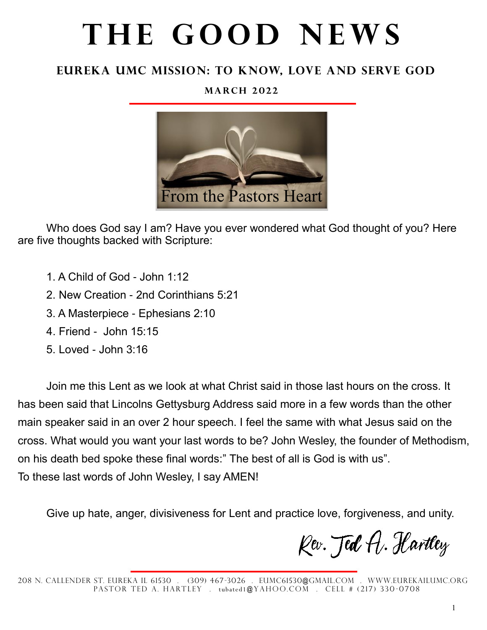# THE GOOD NEWS

### **Eureka UMc Mission: To Know, Love and Serve God**

#### **M a r c h 2 0 2 2**



Who does God say I am? Have you ever wondered what God thought of you? Here are five thoughts backed with Scripture:

- 1. A Child of God John 1:12
- 2. New Creation 2nd Corinthians 5:21
- 3. A Masterpiece Ephesians 2:10
- 4. Friend John 15:15
- 5. Loved John 3:16

Join me this Lent as we look at what Christ said in those last hours on the cross. It has been said that Lincolns Gettysburg Address said more in a few words than the other main speaker said in an over 2 hour speech. I feel the same with what Jesus said on the cross. What would you want your last words to be? John Wesley, the founder of Methodism, on his death bed spoke these final words:" The best of all is God is with us". To these last words of John Wesley, I say AMEN!

Give up hate, anger, divisiveness for Lent and practice love, forgiveness, and unity.

Kev. Jed A. Hartley

<sup>208</sup> N. Callender St. Eureka IL 61530 . (309) 467-3026 . eumc61530@gmail.com . WWw.eurekailumc.org PASTOR TED A. HARTLEY . tubated1@YAHOO.COM . CELL # (217) 330-0708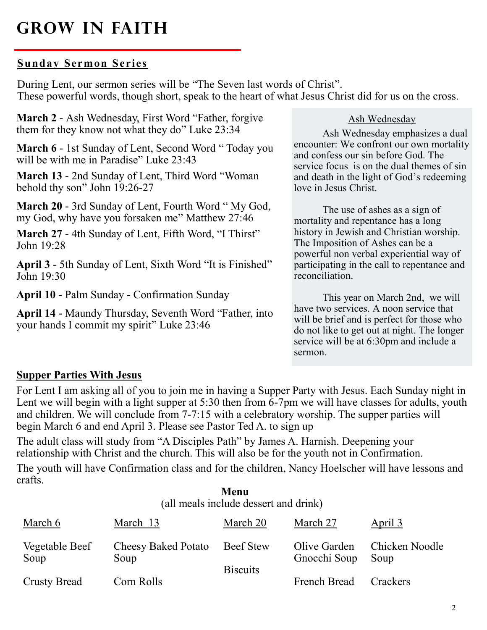### **Grow in Faith**

#### **Sunday Sermon Series**

During Lent, our sermon series will be "The Seven last words of Christ". These powerful words, though short, speak to the heart of what Jesus Christ did for us on the cross.

**March 2 -** Ash Wednesday, First Word "Father, forgive them for they know not what they do" Luke 23:34

**March 6** - 1st Sunday of Lent, Second Word " Today you will be with me in Paradise" Luke 23:43

**March 13 -** 2nd Sunday of Lent, Third Word "Woman behold thy son" John 19:26-27

**March 20** - 3rd Sunday of Lent, Fourth Word " My God, my God, why have you forsaken me" Matthew 27:46

**March 27** - 4th Sunday of Lent, Fifth Word, "I Thirst" John 19:28

**April 3** - 5th Sunday of Lent, Sixth Word "It is Finished" John 19:30

**April 10** - Palm Sunday - Confirmation Sunday

**April 14** - Maundy Thursday, Seventh Word "Father, into your hands I commit my spirit" Luke 23:46

#### Ash Wednesday

Ash Wednesday emphasizes a dual encounter: We confront our own mortality and confess our sin before God. The service focus is on the dual themes of sin and death in the light of God's redeeming love in Jesus Christ.

The use of ashes as a sign of mortality and repentance has a long history in Jewish and Christian worship. The Imposition of Ashes can be a powerful non verbal experiential way of participating in the call to repentance and reconciliation.

This year on March 2nd, we will have two services. A noon service that will be brief and is perfect for those who do not like to get out at night. The longer service will be at 6:30pm and include a sermon.

#### **Supper Parties With Jesus**

For Lent I am asking all of you to join me in having a Supper Party with Jesus. Each Sunday night in Lent we will begin with a light supper at 5:30 then from 6-7pm we will have classes for adults, youth and children. We will conclude from 7-7:15 with a celebratory worship. The supper parties will begin March 6 and end April 3. Please see Pastor Ted A. to sign up

The adult class will study from "A Disciples Path" by James A. Harnish. Deepening your relationship with Christ and the church. This will also be for the youth not in Confirmation.

The youth will have Confirmation class and for the children, Nancy Hoelscher will have lessons and crafts.

| Menu<br>(all meals include dessert and drink) |                                    |                              |                              |                        |
|-----------------------------------------------|------------------------------------|------------------------------|------------------------------|------------------------|
| March 6                                       | March 13                           | March 20                     | March 27                     | April 3                |
| Vegetable Beef<br>Soup                        | <b>Cheesy Baked Potato</b><br>Soup | Beef Stew<br><b>Biscuits</b> | Olive Garden<br>Gnocchi Soup | Chicken Noodle<br>Soup |
| <b>Crusty Bread</b>                           | Corn Rolls                         |                              | French Bread                 | Crackers               |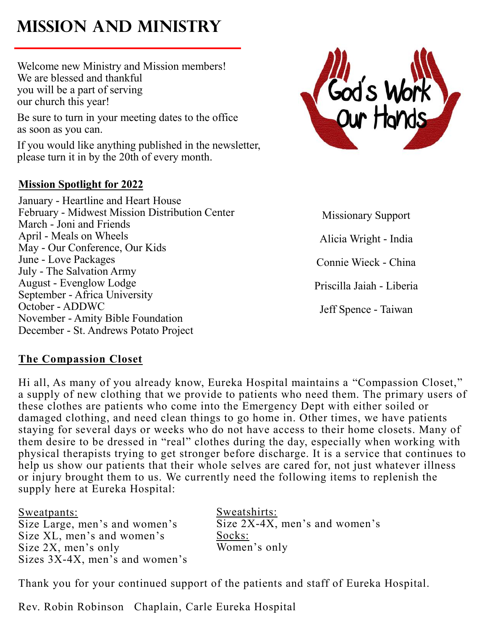# **Mission and Ministry**

Welcome new Ministry and Mission members! We are blessed and thankful you will be a part of serving our church this year!

Be sure to turn in your meeting dates to the office as soon as you can.

If you would like anything published in the newsletter, please turn it in by the 20th of every month.

### **Mission Spotlight for 2022**

January - Heartline and Heart House February - Midwest Mission Distribution Center March - Joni and Friends April - Meals on Wheels May - Our Conference, Our Kids June - Love Packages July - The Salvation Army August - Evenglow Lodge September - Africa University October - ADDWC November - Amity Bible Foundation December - St. Andrews Potato Project



Missionary Support Alicia Wright - India Connie Wieck - China Priscilla Jaiah - Liberia Jeff Spence - Taiwan

#### **The Compassion Closet**

Hi all, As many of you already know, Eureka Hospital maintains a "Compassion Closet," a supply of new clothing that we provide to patients who need them. The primary users of these clothes are patients who come into the Emergency Dept with either soiled or damaged clothing, and need clean things to go home in. Other times, we have patients staying for several days or weeks who do not have access to their home closets. Many of them desire to be dressed in "real" clothes during the day, especially when working with physical therapists trying to get stronger before discharge. It is a service that continues to help us show our patients that their whole selves are cared for, not just whatever illness or injury brought them to us. We currently need the following items to replenish the supply here at Eureka Hospital:

Sweatpants: Size Large, men's and women's Size XL, men's and women's Size 2X, men's only Sizes 3X-4X, men's and women's Sweatshirts: Size 2X-4X, men's and women's Socks: Women's only

Thank you for your continued support of the patients and staff of Eureka Hospital.

Rev. Robin Robinson Chaplain, Carle Eureka Hospital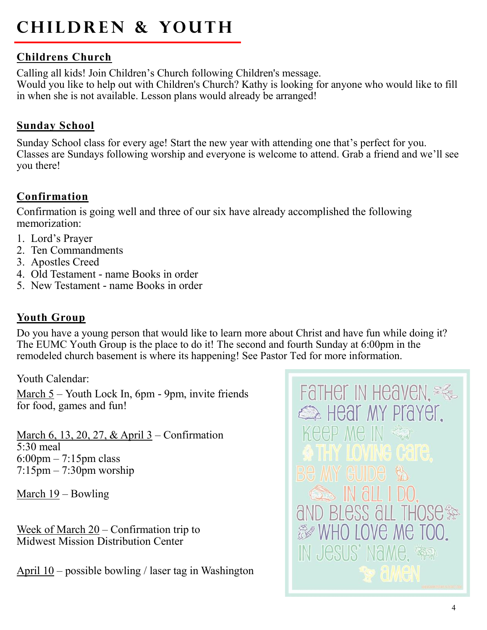# **CHILDREN & YOUTH**

### **Childrens Church**

Calling all kids! Join Children's Church following Children's message. Would you like to help out with Children's Church? Kathy is looking for anyone who would like to fill in when she is not available. Lesson plans would already be arranged!

### **Sunday School**

Sunday School class for every age! Start the new year with attending one that's perfect for you. Classes are Sundays following worship and everyone is welcome to attend. Grab a friend and we'll see you there!

### **Confirmation**

Confirmation is going well and three of our six have already accomplished the following memorization:

- 1. Lord's Prayer
- 2. Ten Commandments
- 3. Apostles Creed
- 4. Old Testament name Books in order
- 5. New Testament name Books in order

### **Youth Group**

Do you have a young person that would like to learn more about Christ and have fun while doing it? The EUMC Youth Group is the place to do it! The second and fourth Sunday at 6:00pm in the remodeled church basement is where its happening! See Pastor Ted for more information.

Youth Calendar:

March 5 – Youth Lock In, 6pm - 9pm, invite friends for food, games and fun!

March 6, 13, 20, 27, & April 3 – Confirmation 5:30 meal 6:00pm – 7:15pm class  $7:15$ pm –  $7:30$ pm worship

March 19 – Bowling

Week of March 20 – Confirmation trip to Midwest Mission Distribution Center

April  $10$  – possible bowling / laser tag in Washington

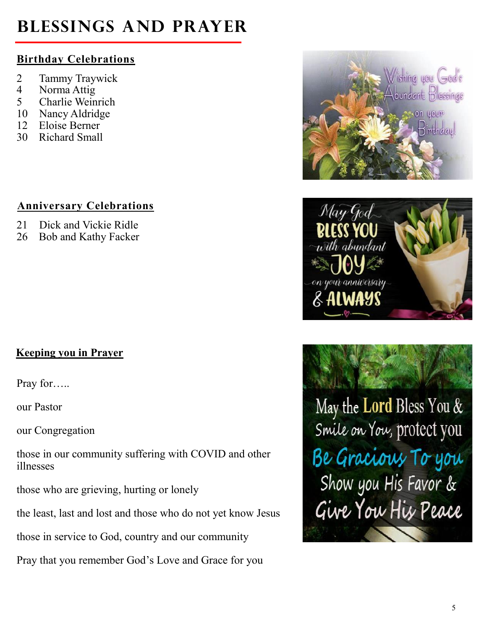# **Blessings and Prayer**

### **Birthday Celebrations**

- 2 Tammy Traywick
- 4 Norma Attig
- 5 Charlie Weinrich
- 10 Nancy Aldridge
- 12 Eloise Berner
- 30 Richard Small

### **Anniversary Celebrations**

- 21 Dick and Vickie Ridle
- 26 Bob and Kathy Facker

### **Keeping you in Prayer**

Pray for…..

our Pastor

our Congregation

those in our community suffering with COVID and other illnesses

those who are grieving, hurting or lonely

the least, last and lost and those who do not yet know Jesus

those in service to God, country and our community

Pray that you remember God's Love and Grace for you